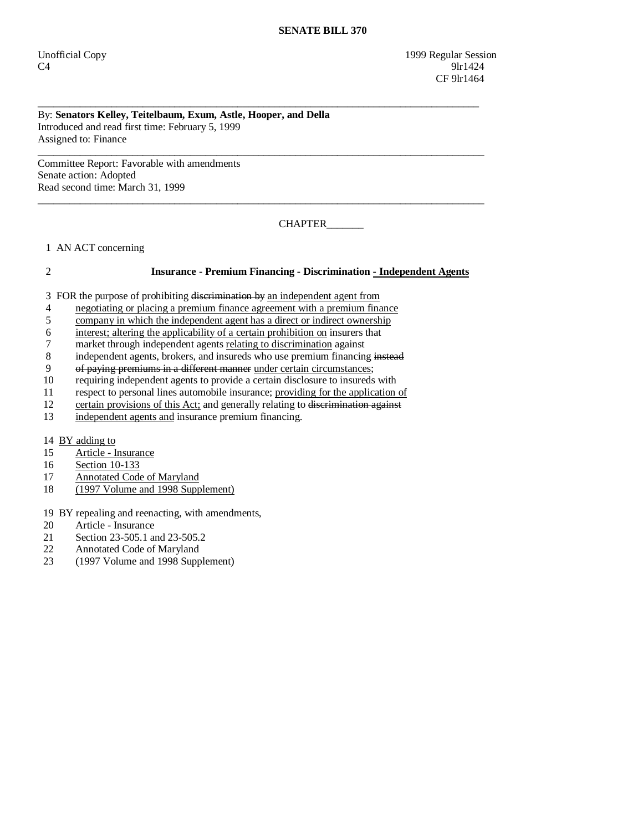\_\_\_\_\_\_\_\_\_\_\_\_\_\_\_\_\_\_\_\_\_\_\_\_\_\_\_\_\_\_\_\_\_\_\_\_\_\_\_\_\_\_\_\_\_\_\_\_\_\_\_\_\_\_\_\_\_\_\_\_\_\_\_\_\_\_\_\_\_\_\_\_\_\_\_\_\_\_\_\_\_\_\_\_

\_\_\_\_\_\_\_\_\_\_\_\_\_\_\_\_\_\_\_\_\_\_\_\_\_\_\_\_\_\_\_\_\_\_\_\_\_\_\_\_\_\_\_\_\_\_\_\_\_\_\_\_\_\_\_\_\_\_\_\_\_\_\_\_\_\_\_\_\_\_\_\_\_\_\_\_\_\_\_\_\_\_\_\_\_

\_\_\_\_\_\_\_\_\_\_\_\_\_\_\_\_\_\_\_\_\_\_\_\_\_\_\_\_\_\_\_\_\_\_\_\_\_\_\_\_\_\_\_\_\_\_\_\_\_\_\_\_\_\_\_\_\_\_\_\_\_\_\_\_\_\_\_\_\_\_\_\_\_\_\_\_\_\_\_\_\_\_\_\_\_

Unofficial Copy 1999 Regular Session  $C4$  9lr1424 **CF** 9lr1464

## By: **Senators Kelley, Teitelbaum, Exum, Astle, Hooper, and Della**  Introduced and read first time: February 5, 1999 Assigned to: Finance

Committee Report: Favorable with amendments Senate action: Adopted Read second time: March 31, 1999

CHAPTER\_\_\_\_\_\_\_

1 AN ACT concerning

# 2 **Insurance - Premium Financing - Discrimination - Independent Agents**

3 FOR the purpose of prohibiting discrimination by an independent agent from

- 4 negotiating or placing a premium finance agreement with a premium finance
- 5 company in which the independent agent has a direct or indirect ownership
- 6 interest; altering the applicability of a certain prohibition on insurers that
- 7 market through independent agents relating to discrimination against
- 8 independent agents, brokers, and insureds who use premium financing instead
- 9 of paying premiums in a different manner under certain circumstances;
- 10 requiring independent agents to provide a certain disclosure to insureds with
- 11 respect to personal lines automobile insurance; providing for the application of
- 12 certain provisions of this Act; and generally relating to discrimination against
- 13 independent agents and insurance premium financing.

14 BY adding to

- 15 Article Insurance
- 16 Section 10-133
- 17 Annotated Code of Maryland
- 18 (1997 Volume and 1998 Supplement)

19 BY repealing and reenacting, with amendments,

- 20 Article Insurance<br>21 Section 23-505.1 a
- 21 Section 23-505.1 and 23-505.2<br>22 Annotated Code of Maryland
- Annotated Code of Maryland
- 23 (1997 Volume and 1998 Supplement)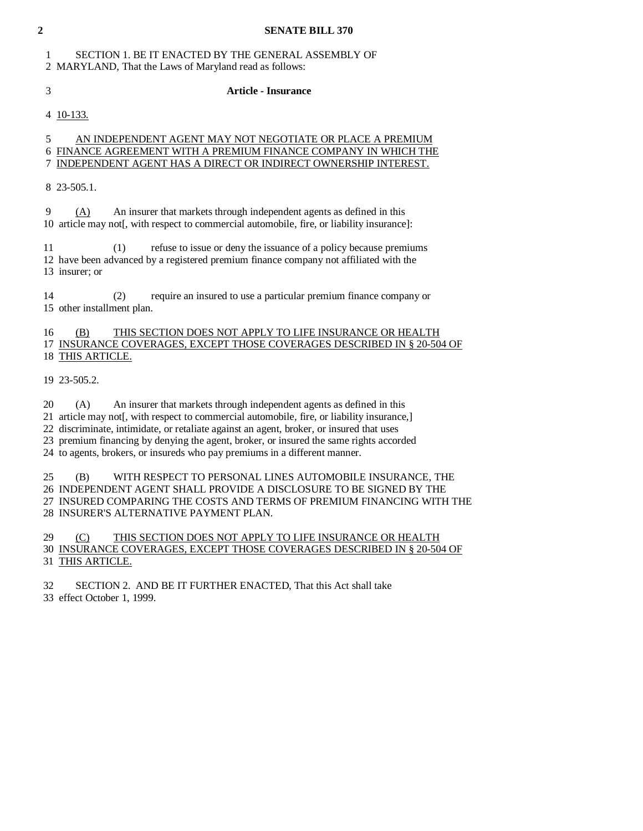### **2 SENATE BILL 370**

1 SECTION 1. BE IT ENACTED BY THE GENERAL ASSEMBLY OF

2 MARYLAND, That the Laws of Maryland read as follows:

### 3 **Article - Insurance**

4 10-133.

# 5 AN INDEPENDENT AGENT MAY NOT NEGOTIATE OR PLACE A PREMIUM 6 FINANCE AGREEMENT WITH A PREMIUM FINANCE COMPANY IN WHICH THE 7 INDEPENDENT AGENT HAS A DIRECT OR INDIRECT OWNERSHIP INTEREST.

8 23-505.1.

 9 (A) An insurer that markets through independent agents as defined in this 10 article may not[, with respect to commercial automobile, fire, or liability insurance]:

 11 (1) refuse to issue or deny the issuance of a policy because premiums 12 have been advanced by a registered premium finance company not affiliated with the 13 insurer; or

 14 (2) require an insured to use a particular premium finance company or 15 other installment plan.

## 16 (B) THIS SECTION DOES NOT APPLY TO LIFE INSURANCE OR HEALTH 17 INSURANCE COVERAGES, EXCEPT THOSE COVERAGES DESCRIBED IN § 20-504 OF 18 THIS ARTICLE.

19 23-505.2.

20 (A) An insurer that markets through independent agents as defined in this

21 article may not[, with respect to commercial automobile, fire, or liability insurance,]

22 discriminate, intimidate, or retaliate against an agent, broker, or insured that uses

23 premium financing by denying the agent, broker, or insured the same rights accorded

24 to agents, brokers, or insureds who pay premiums in a different manner.

 25 (B) WITH RESPECT TO PERSONAL LINES AUTOMOBILE INSURANCE, THE 26 INDEPENDENT AGENT SHALL PROVIDE A DISCLOSURE TO BE SIGNED BY THE 27 INSURED COMPARING THE COSTS AND TERMS OF PREMIUM FINANCING WITH THE 28 INSURER'S ALTERNATIVE PAYMENT PLAN.

 29 (C) THIS SECTION DOES NOT APPLY TO LIFE INSURANCE OR HEALTH 30 INSURANCE COVERAGES, EXCEPT THOSE COVERAGES DESCRIBED IN § 20-504 OF 31 THIS ARTICLE.

 32 SECTION 2. AND BE IT FURTHER ENACTED, That this Act shall take 33 effect October 1, 1999.